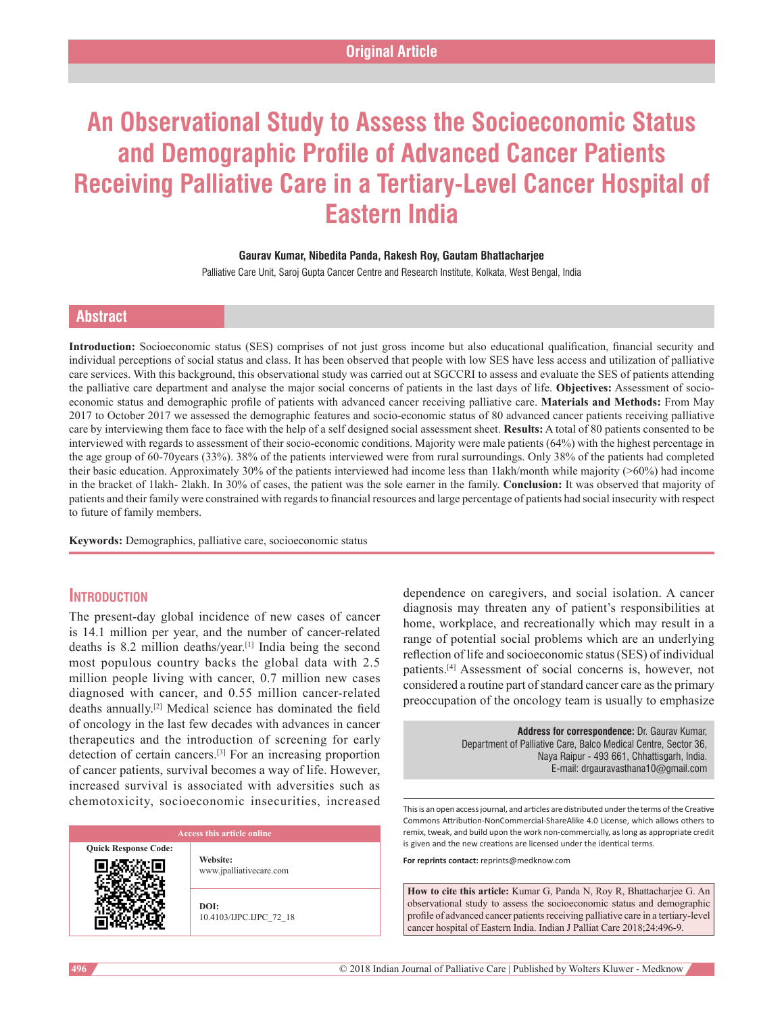# **An Observational Study to Assess the Socioeconomic Status and Demographic Profile of Advanced Cancer Patients Receiving Palliative Care in a Tertiary‑Level Cancer Hospital of Eastern India**

#### **Gaurav Kumar, Nibedita Panda, Rakesh Roy, Gautam Bhattacharjee**

Palliative Care Unit, Saroj Gupta Cancer Centre and Research Institute, Kolkata, West Bengal, India

### **Abstract**

**Introduction:** Socioeconomic status (SES) comprises of not just gross income but also educational qualification, financial security and individual perceptions of social status and class. It has been observed that people with low SES have less access and utilization of palliative care services. With this background, this observational study was carried out at SGCCRI to assess and evaluate the SES of patients attending the palliative care department and analyse the major social concerns of patients in the last days of life. **Objectives:** Assessment of socioeconomic status and demographic profile of patients with advanced cancer receiving palliative care. **Materials and Methods:** From May 2017 to October 2017 we assessed the demographic features and socio-economic status of 80 advanced cancer patients receiving palliative care by interviewing them face to face with the help of a self designed social assessment sheet. **Results:** A total of 80 patients consented to be interviewed with regards to assessment of their socio-economic conditions. Majority were male patients (64%) with the highest percentage in the age group of 60-70years (33%). 38% of the patients interviewed were from rural surroundings. Only 38% of the patients had completed their basic education. Approximately 30% of the patients interviewed had income less than 1lakh/month while majority (>60%) had income in the bracket of 1lakh- 2lakh. In 30% of cases, the patient was the sole earner in the family. **Conclusion:** It was observed that majority of patients and their family were constrained with regards to financial resources and large percentage of patients had social insecurity with respect to future of family members.

**Keywords:** Demographics, palliative care, socioeconomic status

### **Introduction**

The present-day global incidence of new cases of cancer is 14.1 million per year, and the number of cancer-related deaths is 8.2 million deaths/year.[1] India being the second most populous country backs the global data with 2.5 million people living with cancer, 0.7 million new cases diagnosed with cancer, and 0.55 million cancer‑related deaths annually.[2] Medical science has dominated the field of oncology in the last few decades with advances in cancer therapeutics and the introduction of screening for early detection of certain cancers.[3] For an increasing proportion of cancer patients, survival becomes a way of life. However, increased survival is associated with adversities such as chemotoxicity, socioeconomic insecurities, increased

**Quick Response Code:**

**Website:** www.jpalliativecare.com

**DOI:** 10.4103/IJPC.IJPC\_72\_18 dependence on caregivers, and social isolation. A cancer diagnosis may threaten any of patient's responsibilities at home, workplace, and recreationally which may result in a range of potential social problems which are an underlying reflection of life and socioeconomic status(SES) of individual patients.[4] Assessment of social concerns is, however, not considered a routine part of standard cancer care as the primary preoccupation of the oncology team is usually to emphasize

> **Address for correspondence:** Dr. Gaurav Kumar, Department of Palliative Care, Balco Medical Centre, Sector 36, Naya Raipur - 493 661, Chhattisgarh, India. E-mail: drgauravasthana10@gmail.com

This is an open access journal, and articles are distributed under the terms of the Creative Commons Attribution‑NonCommercial‑ShareAlike 4.0 License, which allows others to remix, tweak, and build upon the work non‑commercially, as long as appropriate credit is given and the new creations are licensed under the identical terms.

**For reprints contact:** reprints@medknow.com

**How to cite this article:** Kumar G, Panda N, Roy R, Bhattacharjee G. An observational study to assess the socioeconomic status and demographic profile of advanced cancer patients receiving palliative care in a tertiary-level cancer hospital of Eastern India. Indian J Palliat Care 2018;24:496-9.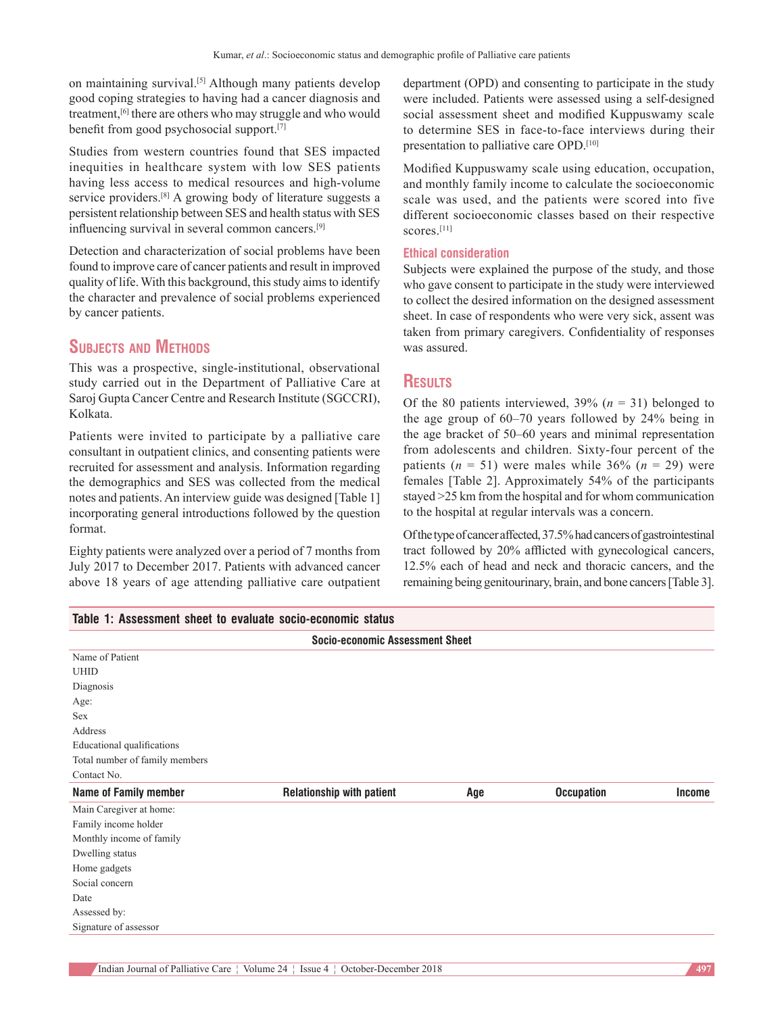on maintaining survival.<sup>[5]</sup> Although many patients develop good coping strategies to having had a cancer diagnosis and treatment,<sup>[6]</sup> there are others who may struggle and who would benefit from good psychosocial support.[7]

Studies from western countries found that SES impacted inequities in healthcare system with low SES patients having less access to medical resources and high-volume service providers.<sup>[8]</sup> A growing body of literature suggests a persistent relationship between SES and health status with SES influencing survival in several common cancers.[9]

Detection and characterization of social problems have been found to improve care of cancer patients and result in improved quality of life. With this background, this study aims to identify the character and prevalence of social problems experienced by cancer patients.

## **Subjects and Methods**

This was a prospective, single‑institutional, observational study carried out in the Department of Palliative Care at Saroj Gupta Cancer Centre and Research Institute (SGCCRI), Kolkata.

Patients were invited to participate by a palliative care consultant in outpatient clinics, and consenting patients were recruited for assessment and analysis. Information regarding the demographics and SES was collected from the medical notes and patients. An interview guide was designed [Table 1] incorporating general introductions followed by the question format.

Eighty patients were analyzed over a period of 7 months from July 2017 to December 2017. Patients with advanced cancer above 18 years of age attending palliative care outpatient

**Table 1: Assessment sheet to evaluate socio‑economic status**

department (OPD) and consenting to participate in the study were included. Patients were assessed using a self‑designed social assessment sheet and modified Kuppuswamy scale to determine SES in face-to-face interviews during their presentation to palliative care OPD.[10]

Modified Kuppuswamy scale using education, occupation, and monthly family income to calculate the socioeconomic scale was used, and the patients were scored into five different socioeconomic classes based on their respective scores<sup>[11]</sup>

#### **Ethical consideration**

Subjects were explained the purpose of the study, and those who gave consent to participate in the study were interviewed to collect the desired information on the designed assessment sheet. In case of respondents who were very sick, assent was taken from primary caregivers. Confidentiality of responses was assured.

#### **Results**

Of the 80 patients interviewed,  $39\%$  ( $n = 31$ ) belonged to the age group of 60–70 years followed by 24% being in the age bracket of 50–60 years and minimal representation from adolescents and children. Sixty-four percent of the patients  $(n = 51)$  were males while 36%  $(n = 29)$  were females [Table 2]. Approximately 54% of the participants stayed >25 km from the hospital and for whom communication to the hospital at regular intervals was a concern.

Of the type of cancer affected, 37.5% had cancers of gastrointestinal tract followed by 20% afflicted with gynecological cancers, 12.5% each of head and neck and thoracic cancers, and the remaining being genitourinary, brain, and bone cancers[Table 3].

| TADIC T. ASSESSITICIII SIICCI IU CVAIUAIC SULIU-CLUIIUIIIIL SIAIUS |                                  |     |                   |               |  |  |
|--------------------------------------------------------------------|----------------------------------|-----|-------------------|---------------|--|--|
| <b>Socio-economic Assessment Sheet</b>                             |                                  |     |                   |               |  |  |
| Name of Patient                                                    |                                  |     |                   |               |  |  |
| <b>UHID</b>                                                        |                                  |     |                   |               |  |  |
| Diagnosis                                                          |                                  |     |                   |               |  |  |
| Age:                                                               |                                  |     |                   |               |  |  |
| <b>Sex</b>                                                         |                                  |     |                   |               |  |  |
| Address                                                            |                                  |     |                   |               |  |  |
| Educational qualifications                                         |                                  |     |                   |               |  |  |
| Total number of family members                                     |                                  |     |                   |               |  |  |
| Contact No.                                                        |                                  |     |                   |               |  |  |
| <b>Name of Family member</b>                                       | <b>Relationship with patient</b> | Age | <b>Occupation</b> | <b>Income</b> |  |  |
| Main Caregiver at home:                                            |                                  |     |                   |               |  |  |
| Family income holder                                               |                                  |     |                   |               |  |  |
| Monthly income of family                                           |                                  |     |                   |               |  |  |
| Dwelling status                                                    |                                  |     |                   |               |  |  |
| Home gadgets                                                       |                                  |     |                   |               |  |  |
| Social concern                                                     |                                  |     |                   |               |  |  |
| Date                                                               |                                  |     |                   |               |  |  |
| Assessed by:                                                       |                                  |     |                   |               |  |  |
| Signature of assessor                                              |                                  |     |                   |               |  |  |
|                                                                    |                                  |     |                   |               |  |  |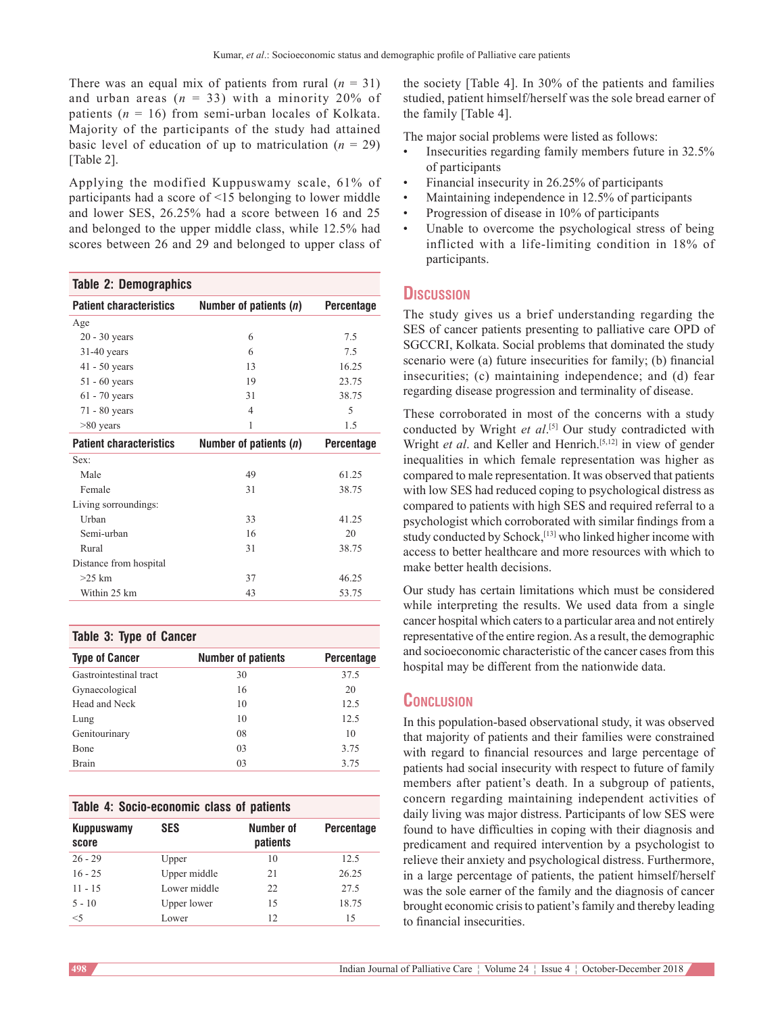There was an equal mix of patients from rural  $(n = 31)$ and urban areas  $(n = 33)$  with a minority 20% of patients  $(n = 16)$  from semi-urban locales of Kolkata. Majority of the participants of the study had attained basic level of education of up to matriculation  $(n = 29)$ [Table 2].

Applying the modified Kuppuswamy scale, 61% of participants had a score of <15 belonging to lower middle and lower SES, 26.25% had a score between 16 and 25 and belonged to the upper middle class, while 12.5% had scores between 26 and 29 and belonged to upper class of

#### **Table 2: Demographics**

| <b>Patient characteristics</b> | Number of patients (n) | <b>Percentage</b> |
|--------------------------------|------------------------|-------------------|
| Age                            |                        |                   |
| $20 - 30$ years                | 6                      | 7.5               |
| $31-40$ years                  | 6                      | 7.5               |
| $41 - 50$ years                | 13                     | 16.25             |
| $51 - 60$ years                | 19                     | 23.75             |
| $61 - 70$ years                | 31                     | 38.75             |
| $71 - 80$ years                | $\overline{4}$         | 5                 |
| $>80$ years                    | 1                      | 1.5               |
| <b>Patient characteristics</b> | Number of patients (n) | <b>Percentage</b> |
| Sex:                           |                        |                   |
| Male                           | 49                     | 61.25             |
| Female                         | 31                     | 38.75             |
| Living sorroundings:           |                        |                   |
| Urban                          | 33                     | 41.25             |
| Semi-urban                     | 16                     | 20                |
| Rural                          | 31                     | 38.75             |
| Distance from hospital         |                        |                   |
| $>25$ km                       | 37                     | 46.25             |
| Within 25 km                   | 43                     | 53.75             |

#### **Table 3: Type of Cancer**

| <b>Type of Cancer</b>  | <b>Number of patients</b> | <b>Percentage</b> |
|------------------------|---------------------------|-------------------|
| Gastrointestinal tract | 30                        | 37.5              |
| Gynaecological         | 16                        | 20                |
| Head and Neck          | 10                        | 12.5              |
| Lung                   | 10                        | 12.5              |
| Genitourinary          | 08                        | 10                |
| <b>B</b> one           | 03                        | 3.75              |
| <b>Brain</b>           | 03                        | 3.75              |

#### **Table 4: Socio‑economic class of patients**

| <b>Kuppuswamy</b><br>score | <b>SES</b>   | Number of<br>patients | <b>Percentage</b> |
|----------------------------|--------------|-----------------------|-------------------|
| $26 - 29$                  | Upper        | 10                    | 12.5              |
| $16 - 25$                  | Upper middle | 21                    | 26.25             |
| $11 - 15$                  | Lower middle | 22.                   | 27.5              |
| $5 - 10$                   | Upper lower  | 15                    | 18.75             |
| $<$ 5                      | Lower        | 12                    | 15                |

the society [Table 4]. In 30% of the patients and families studied, patient himself/herself was the sole bread earner of the family [Table 4].

The major social problems were listed as follows:

- Insecurities regarding family members future in 32.5% of participants
- Financial insecurity in 26.25% of participants
- Maintaining independence in 12.5% of participants
- Progression of disease in 10% of participants
- Unable to overcome the psychological stress of being inflicted with a life-limiting condition in 18% of participants.

#### **Discussion**

The study gives us a brief understanding regarding the SES of cancer patients presenting to palliative care OPD of SGCCRI, Kolkata. Social problems that dominated the study scenario were (a) future insecurities for family; (b) financial insecurities; (c) maintaining independence; and (d) fear regarding disease progression and terminality of disease.

These corroborated in most of the concerns with a study conducted by Wright *et al*. [5] Our study contradicted with Wright *et al.* and Keller and Henrich.<sup>[5,12]</sup> in view of gender inequalities in which female representation was higher as compared to male representation. It was observed that patients with low SES had reduced coping to psychological distress as compared to patients with high SES and required referral to a psychologist which corroborated with similar findings from a study conducted by Schock,<sup>[13]</sup> who linked higher income with access to better healthcare and more resources with which to make better health decisions.

Our study has certain limitations which must be considered while interpreting the results. We used data from a single cancer hospital which caters to a particular area and not entirely representative of the entire region. As a result, the demographic and socioeconomic characteristic of the cancer cases from this hospital may be different from the nationwide data.

#### **Conclusion**

In this population-based observational study, it was observed that majority of patients and their families were constrained with regard to financial resources and large percentage of patients had social insecurity with respect to future of family members after patient's death. In a subgroup of patients, concern regarding maintaining independent activities of daily living was major distress. Participants of low SES were found to have difficulties in coping with their diagnosis and predicament and required intervention by a psychologist to relieve their anxiety and psychological distress. Furthermore, in a large percentage of patients, the patient himself/herself was the sole earner of the family and the diagnosis of cancer brought economic crisis to patient's family and thereby leading to financial insecurities.